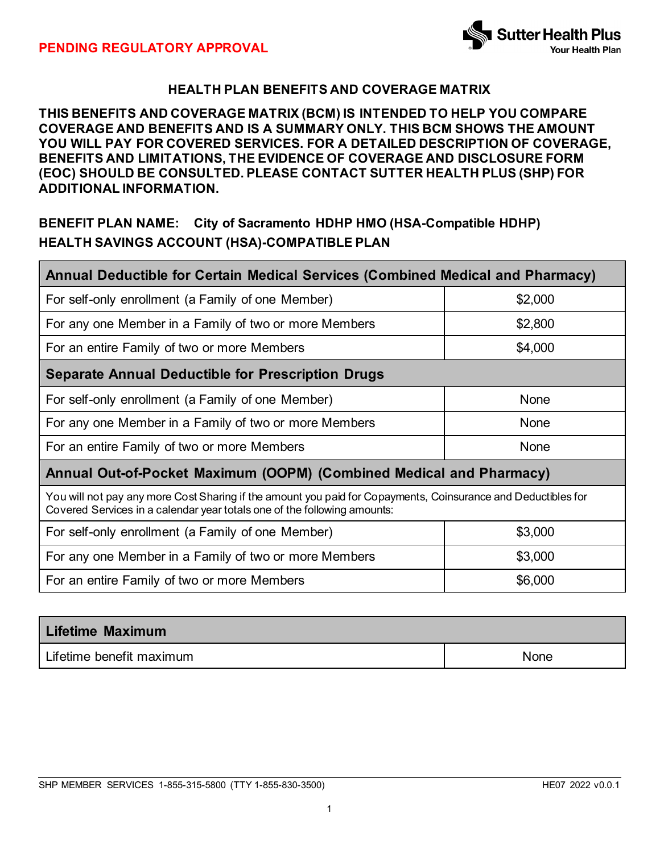

# **HEALTH PLAN BENEFITS AND COVERAGE MATRIX**

## **THIS BENEFITS AND COVERAGE MATRIX (BCM) IS INTENDED TO HELP YOU COMPARE COVERAGE AND BENEFITS AND IS A SUMMARY ONLY. THIS BCM SHOWS THE AMOUNT YOU WILL PAY FOR COVERED SERVICES. FOR A DETAILED DESCRIPTION OF COVERAGE, BENEFITS AND LIMITATIONS, THE EVIDENCE OF COVERAGE AND DISCLOSURE FORM (EOC) SHOULD BE CONSULTED. PLEASE CONTACT SUTTER HEALTH PLUS (SHP) FOR ADDITIONAL INFORMATION.**

# **BENEFIT PLAN NAME: City of Sacramento HDHP HMO (HSA-Compatible HDHP) HEALTH SAVINGS ACCOUNT (HSA)-COMPATIBLE PLAN**

| Annual Deductible for Certain Medical Services (Combined Medical and Pharmacy)                                                                                                            |         |  |  |
|-------------------------------------------------------------------------------------------------------------------------------------------------------------------------------------------|---------|--|--|
| For self-only enrollment (a Family of one Member)                                                                                                                                         | \$2,000 |  |  |
| For any one Member in a Family of two or more Members                                                                                                                                     | \$2,800 |  |  |
| For an entire Family of two or more Members                                                                                                                                               | \$4,000 |  |  |
| <b>Separate Annual Deductible for Prescription Drugs</b>                                                                                                                                  |         |  |  |
| For self-only enrollment (a Family of one Member)                                                                                                                                         | None    |  |  |
| For any one Member in a Family of two or more Members                                                                                                                                     | None    |  |  |
| For an entire Family of two or more Members                                                                                                                                               | None    |  |  |
| Annual Out-of-Pocket Maximum (OOPM) (Combined Medical and Pharmacy)                                                                                                                       |         |  |  |
| You will not pay any more Cost Sharing if the amount you paid for Copayments, Coinsurance and Deductibles for<br>Covered Services in a calendar year totals one of the following amounts: |         |  |  |
| For self-only enrollment (a Family of one Member)                                                                                                                                         | \$3,000 |  |  |
| For any one Member in a Family of two or more Members                                                                                                                                     | \$3,000 |  |  |
| For an entire Family of two or more Members                                                                                                                                               | \$6,000 |  |  |
|                                                                                                                                                                                           |         |  |  |

| <b>Lifetime Maximum</b>  |      |
|--------------------------|------|
| Lifetime benefit maximum | None |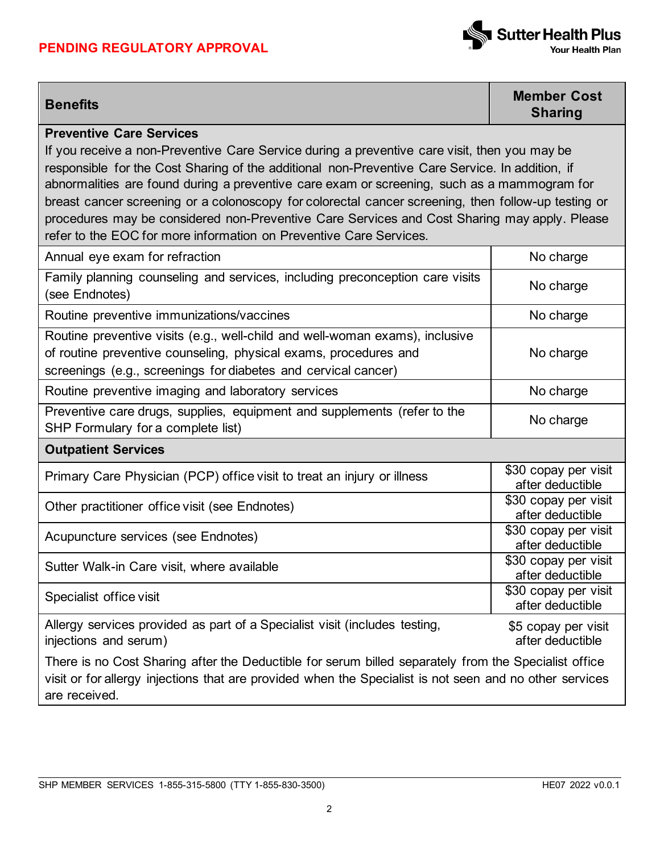# **PENDING REGULATORY APPROVAL**



**Benefits Member Cost Sharing**

### **Preventive Care Services**

If you receive a non-Preventive Care Service during a preventive care visit, then you may be responsible for the Cost Sharing of the additional non-Preventive Care Service. In addition, if abnormalities are found during a preventive care exam or screening, such as a mammogram for breast cancer screening or a colonoscopy for colorectal cancer screening, then follow-up testing or procedures may be considered non-Preventive Care Services and Cost Sharing may apply. Please refer to the EOC for more information on Preventive Care Services.

| Annual eye exam for refraction                                                                                                                                                                                                   | No charge                                |  |
|----------------------------------------------------------------------------------------------------------------------------------------------------------------------------------------------------------------------------------|------------------------------------------|--|
| Family planning counseling and services, including preconception care visits<br>(see Endnotes)                                                                                                                                   | No charge                                |  |
| Routine preventive immunizations/vaccines                                                                                                                                                                                        | No charge                                |  |
| Routine preventive visits (e.g., well-child and well-woman exams), inclusive<br>of routine preventive counseling, physical exams, procedures and<br>screenings (e.g., screenings for diabetes and cervical cancer)               | No charge                                |  |
| Routine preventive imaging and laboratory services                                                                                                                                                                               | No charge                                |  |
| Preventive care drugs, supplies, equipment and supplements (refer to the<br>SHP Formulary for a complete list)                                                                                                                   | No charge                                |  |
| <b>Outpatient Services</b>                                                                                                                                                                                                       |                                          |  |
| Primary Care Physician (PCP) office visit to treat an injury or illness                                                                                                                                                          | \$30 copay per visit<br>after deductible |  |
| Other practitioner office visit (see Endnotes)                                                                                                                                                                                   | \$30 copay per visit<br>after deductible |  |
| Acupuncture services (see Endnotes)                                                                                                                                                                                              | \$30 copay per visit<br>after deductible |  |
| Sutter Walk-in Care visit, where available                                                                                                                                                                                       | \$30 copay per visit<br>after deductible |  |
| Specialist office visit                                                                                                                                                                                                          | \$30 copay per visit<br>after deductible |  |
| Allergy services provided as part of a Specialist visit (includes testing,<br>injections and serum)                                                                                                                              | \$5 copay per visit<br>after deductible  |  |
| There is no Cost Sharing after the Deductible for serum billed separately from the Specialist office<br>visit or for allergy injections that are provided when the Specialist is not seen and no other services<br>are received. |                                          |  |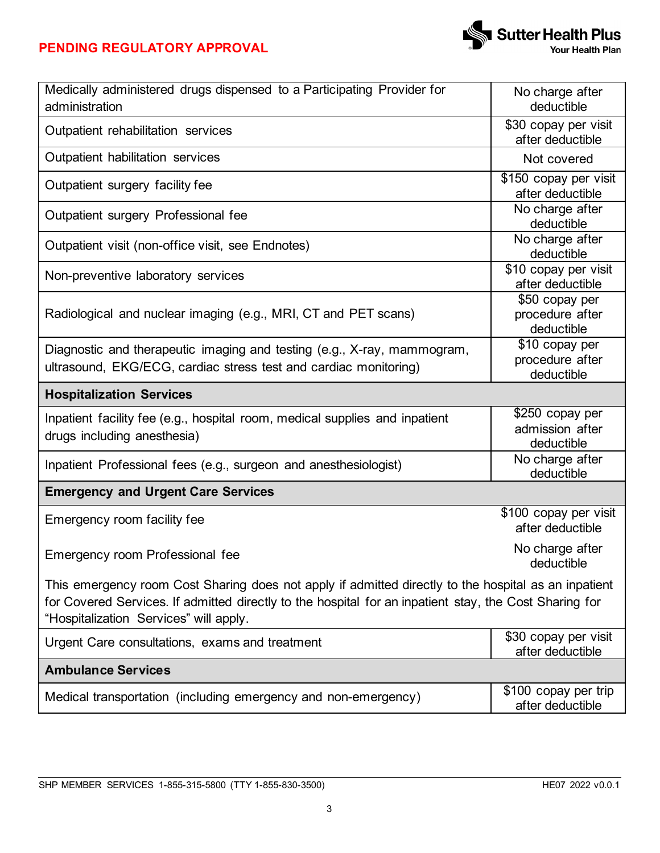# **PENDING REGULATORY APPROVAL**



| Medically administered drugs dispensed to a Participating Provider for<br>administration                                                                                                                                                                 | No charge after<br>deductible                    |  |
|----------------------------------------------------------------------------------------------------------------------------------------------------------------------------------------------------------------------------------------------------------|--------------------------------------------------|--|
| Outpatient rehabilitation services                                                                                                                                                                                                                       | \$30 copay per visit<br>after deductible         |  |
| Outpatient habilitation services                                                                                                                                                                                                                         | Not covered                                      |  |
| Outpatient surgery facility fee                                                                                                                                                                                                                          | \$150 copay per visit<br>after deductible        |  |
| Outpatient surgery Professional fee                                                                                                                                                                                                                      | No charge after<br>deductible                    |  |
| Outpatient visit (non-office visit, see Endnotes)                                                                                                                                                                                                        | No charge after<br>deductible                    |  |
| Non-preventive laboratory services                                                                                                                                                                                                                       | \$10 copay per visit<br>after deductible         |  |
| Radiological and nuclear imaging (e.g., MRI, CT and PET scans)                                                                                                                                                                                           | \$50 copay per<br>procedure after<br>deductible  |  |
| Diagnostic and therapeutic imaging and testing (e.g., X-ray, mammogram,<br>ultrasound, EKG/ECG, cardiac stress test and cardiac monitoring)                                                                                                              | \$10 copay per<br>procedure after<br>deductible  |  |
| <b>Hospitalization Services</b>                                                                                                                                                                                                                          |                                                  |  |
| Inpatient facility fee (e.g., hospital room, medical supplies and inpatient<br>drugs including anesthesia)                                                                                                                                               | \$250 copay per<br>admission after<br>deductible |  |
| Inpatient Professional fees (e.g., surgeon and anesthesiologist)                                                                                                                                                                                         | No charge after<br>deductible                    |  |
| <b>Emergency and Urgent Care Services</b>                                                                                                                                                                                                                |                                                  |  |
| Emergency room facility fee                                                                                                                                                                                                                              | \$100 copay per visit<br>after deductible        |  |
| Emergency room Professional fee                                                                                                                                                                                                                          | No charge after<br>deductible                    |  |
| This emergency room Cost Sharing does not apply if admitted directly to the hospital as an inpatient<br>for Covered Services. If admitted directly to the hospital for an inpatient stay, the Cost Sharing for<br>"Hospitalization Services" will apply. |                                                  |  |
| Urgent Care consultations, exams and treatment                                                                                                                                                                                                           | \$30 copay per visit<br>after deductible         |  |
| <b>Ambulance Services</b>                                                                                                                                                                                                                                |                                                  |  |
| Medical transportation (including emergency and non-emergency)                                                                                                                                                                                           | \$100 copay per trip<br>after deductible         |  |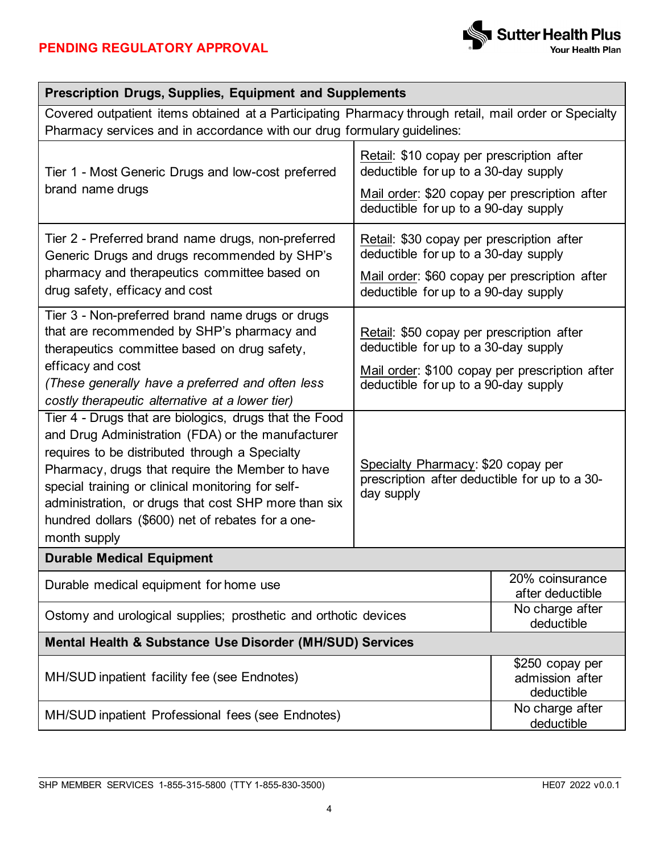| <b>Prescription Drugs, Supplies, Equipment and Supplements</b>                                                                                                                                                                                                                                                                                                                                                                                                                                                                                                                                                                                                   |                                                                                                                                                                                                                                                                                  |                                                        |  |
|------------------------------------------------------------------------------------------------------------------------------------------------------------------------------------------------------------------------------------------------------------------------------------------------------------------------------------------------------------------------------------------------------------------------------------------------------------------------------------------------------------------------------------------------------------------------------------------------------------------------------------------------------------------|----------------------------------------------------------------------------------------------------------------------------------------------------------------------------------------------------------------------------------------------------------------------------------|--------------------------------------------------------|--|
| Covered outpatient items obtained at a Participating Pharmacy through retail, mail order or Specialty<br>Pharmacy services and in accordance with our drug formulary guidelines:                                                                                                                                                                                                                                                                                                                                                                                                                                                                                 |                                                                                                                                                                                                                                                                                  |                                                        |  |
| Tier 1 - Most Generic Drugs and low-cost preferred<br>brand name drugs                                                                                                                                                                                                                                                                                                                                                                                                                                                                                                                                                                                           | Retail: \$10 copay per prescription after<br>deductible for up to a 30-day supply<br>Mail order: \$20 copay per prescription after<br>deductible for up to a 90-day supply                                                                                                       |                                                        |  |
| Tier 2 - Preferred brand name drugs, non-preferred<br>Generic Drugs and drugs recommended by SHP's<br>pharmacy and therapeutics committee based on<br>drug safety, efficacy and cost                                                                                                                                                                                                                                                                                                                                                                                                                                                                             | Retail: \$30 copay per prescription after<br>deductible for up to a 30-day supply<br>Mail order: \$60 copay per prescription after<br>deductible for up to a 90-day supply                                                                                                       |                                                        |  |
| Tier 3 - Non-preferred brand name drugs or drugs<br>that are recommended by SHP's pharmacy and<br>therapeutics committee based on drug safety,<br>efficacy and cost<br>(These generally have a preferred and often less<br>costly therapeutic alternative at a lower tier)<br>Tier 4 - Drugs that are biologics, drugs that the Food<br>and Drug Administration (FDA) or the manufacturer<br>requires to be distributed through a Specialty<br>Pharmacy, drugs that require the Member to have<br>special training or clinical monitoring for self-<br>administration, or drugs that cost SHP more than six<br>hundred dollars (\$600) net of rebates for a one- | Retail: \$50 copay per prescription after<br>deductible for up to a 30-day supply<br>Mail order: \$100 copay per prescription after<br>deductible for up to a 90-day supply<br>Specialty Pharmacy: \$20 copay per<br>prescription after deductible for up to a 30-<br>day supply |                                                        |  |
| month supply<br><b>Durable Medical Equipment</b>                                                                                                                                                                                                                                                                                                                                                                                                                                                                                                                                                                                                                 |                                                                                                                                                                                                                                                                                  |                                                        |  |
| Durable medical equipment for home use                                                                                                                                                                                                                                                                                                                                                                                                                                                                                                                                                                                                                           |                                                                                                                                                                                                                                                                                  | 20% coinsurance<br>after deductible<br>No charge after |  |
| Ostomy and urological supplies; prosthetic and orthotic devices                                                                                                                                                                                                                                                                                                                                                                                                                                                                                                                                                                                                  |                                                                                                                                                                                                                                                                                  | deductible                                             |  |
| <b>Mental Health &amp; Substance Use Disorder (MH/SUD) Services</b>                                                                                                                                                                                                                                                                                                                                                                                                                                                                                                                                                                                              |                                                                                                                                                                                                                                                                                  |                                                        |  |
| MH/SUD inpatient facility fee (see Endnotes)                                                                                                                                                                                                                                                                                                                                                                                                                                                                                                                                                                                                                     |                                                                                                                                                                                                                                                                                  | \$250 copay per<br>admission after<br>deductible       |  |
| MH/SUD inpatient Professional fees (see Endnotes)                                                                                                                                                                                                                                                                                                                                                                                                                                                                                                                                                                                                                |                                                                                                                                                                                                                                                                                  | No charge after<br>deductible                          |  |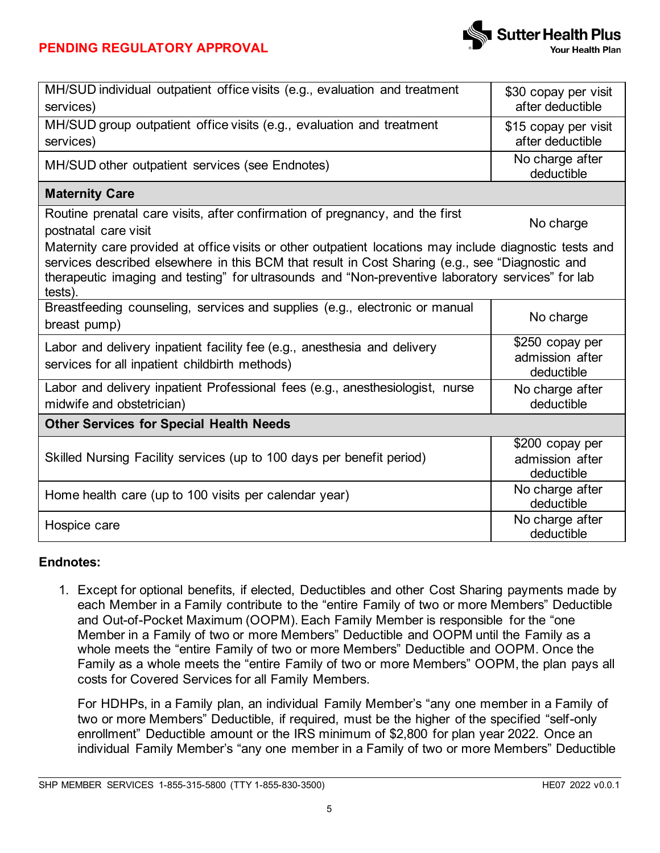

| MH/SUD individual outpatient office visits (e.g., evaluation and treatment<br>services)                                                                                                                                                                                                                                    | \$30 copay per visit<br>after deductible         |  |  |
|----------------------------------------------------------------------------------------------------------------------------------------------------------------------------------------------------------------------------------------------------------------------------------------------------------------------------|--------------------------------------------------|--|--|
| MH/SUD group outpatient office visits (e.g., evaluation and treatment<br>services)                                                                                                                                                                                                                                         | \$15 copay per visit<br>after deductible         |  |  |
| MH/SUD other outpatient services (see Endnotes)                                                                                                                                                                                                                                                                            | No charge after<br>deductible                    |  |  |
| <b>Maternity Care</b>                                                                                                                                                                                                                                                                                                      |                                                  |  |  |
| Routine prenatal care visits, after confirmation of pregnancy, and the first<br>postnatal care visit                                                                                                                                                                                                                       | No charge                                        |  |  |
| Maternity care provided at office visits or other outpatient locations may include diagnostic tests and<br>services described elsewhere in this BCM that result in Cost Sharing (e.g., see "Diagnostic and<br>therapeutic imaging and testing" for ultrasounds and "Non-preventive laboratory services" for lab<br>tests). |                                                  |  |  |
| Breastfeeding counseling, services and supplies (e.g., electronic or manual<br>breast pump)                                                                                                                                                                                                                                | No charge                                        |  |  |
| Labor and delivery inpatient facility fee (e.g., anesthesia and delivery<br>services for all inpatient childbirth methods)                                                                                                                                                                                                 | \$250 copay per<br>admission after<br>deductible |  |  |
| Labor and delivery inpatient Professional fees (e.g., anesthesiologist, nurse<br>midwife and obstetrician)                                                                                                                                                                                                                 | No charge after<br>deductible                    |  |  |
| <b>Other Services for Special Health Needs</b>                                                                                                                                                                                                                                                                             |                                                  |  |  |
| Skilled Nursing Facility services (up to 100 days per benefit period)                                                                                                                                                                                                                                                      | \$200 copay per<br>admission after<br>deductible |  |  |
| Home health care (up to 100 visits per calendar year)                                                                                                                                                                                                                                                                      | No charge after<br>deductible                    |  |  |
| Hospice care                                                                                                                                                                                                                                                                                                               | No charge after<br>deductible                    |  |  |

## **Endnotes:**

1. Except for optional benefits, if elected, Deductibles and other Cost Sharing payments made by each Member in a Family contribute to the "entire Family of two or more Members" Deductible and Out-of-Pocket Maximum (OOPM). Each Family Member is responsible for the "one Member in a Family of two or more Members" Deductible and OOPM until the Family as a whole meets the "entire Family of two or more Members" Deductible and OOPM. Once the Family as a whole meets the "entire Family of two or more Members" OOPM, the plan pays all costs for Covered Services for all Family Members.

For HDHPs, in a Family plan, an individual Family Member's "any one member in a Family of two or more Members" Deductible, if required, must be the higher of the specified "self-only enrollment" Deductible amount or the IRS minimum of \$2,800 for plan year 2022. Once an individual Family Member's "any one member in a Family of two or more Members" Deductible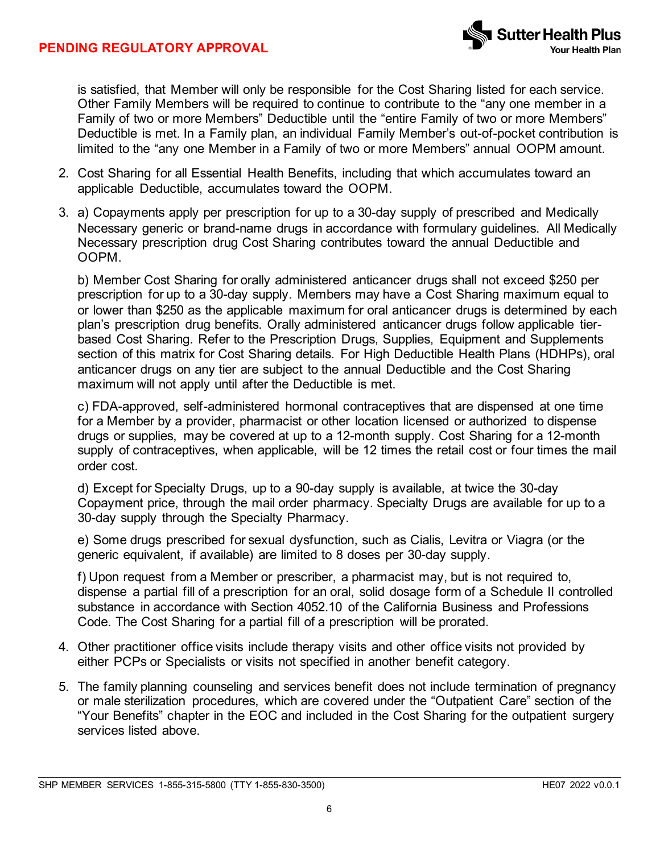is satisfied, that Member will only be responsible for the Cost Sharing listed for each service. Other Family Members will be required to continue to contribute to the "any one member in a Family of two or more Members" Deductible until the "entire Family of two or more Members" Deductible is met. In a Family plan, an individual Family Member's out-of-pocket contribution is limited to the "any one Member in a Family of two or more Members" annual OOPM amount.

- 2. Cost Sharing for all Essential Health Benefits, including that which accumulates toward an applicable Deductible, accumulates toward the OOPM.
- 3. a) Copayments apply per prescription for up to a 30-day supply of prescribed and Medically Necessary generic or brand-name drugs in accordance with formulary guidelines. All Medically Necessary prescription drug Cost Sharing contributes toward the annual Deductible and OOPM.

b) Member Cost Sharing for orally administered anticancer drugs shall not exceed \$250 per prescription for up to a 30-day supply. Members may have a Cost Sharing maximum equal to or lower than \$250 as the applicable maximum for oral anticancer drugs is determined by each plan's prescription drug benefits. Orally administered anticancer drugs follow applicable tierbased Cost Sharing. Refer to the Prescription Drugs, Supplies, Equipment and Supplements section of this matrix for Cost Sharing details. For High Deductible Health Plans (HDHPs), oral anticancer drugs on any tier are subject to the annual Deductible and the Cost Sharing maximum will not apply until after the Deductible is met.

c) FDA-approved, self-administered hormonal contraceptives that are dispensed at one time for a Member by a provider, pharmacist or other location licensed or authorized to dispense drugs or supplies, may be covered at up to a 12-month supply. Cost Sharing for a 12-month supply of contraceptives, when applicable, will be 12 times the retail cost or four times the mail order cost.

d) Except for Specialty Drugs, up to a 90-day supply is available, at twice the 30-day Copayment price, through the mail order pharmacy. Specialty Drugs are available for up to a 30-day supply through the Specialty Pharmacy.

e) Some drugs prescribed for sexual dysfunction, such as Cialis, Levitra or Viagra (or the generic equivalent, if available) are limited to 8 doses per 30-day supply.

f) Upon request from a Member or prescriber, a pharmacist may, but is not required to, dispense a partial fill of a prescription for an oral, solid dosage form of a Schedule II controlled substance in accordance with Section 4052.10 of the California Business and Professions Code. The Cost Sharing for a partial fill of a prescription will be prorated.

- 4. Other practitioner office visits include therapy visits and other office visits not provided by either PCPs or Specialists or visits not specified in another benefit category.
- 5. The family planning counseling and services benefit does not include termination of pregnancy or male sterilization procedures, which are covered under the "Outpatient Care" section of the "Your Benefits" chapter in the EOC and included in the Cost Sharing for the outpatient surgery services listed above.